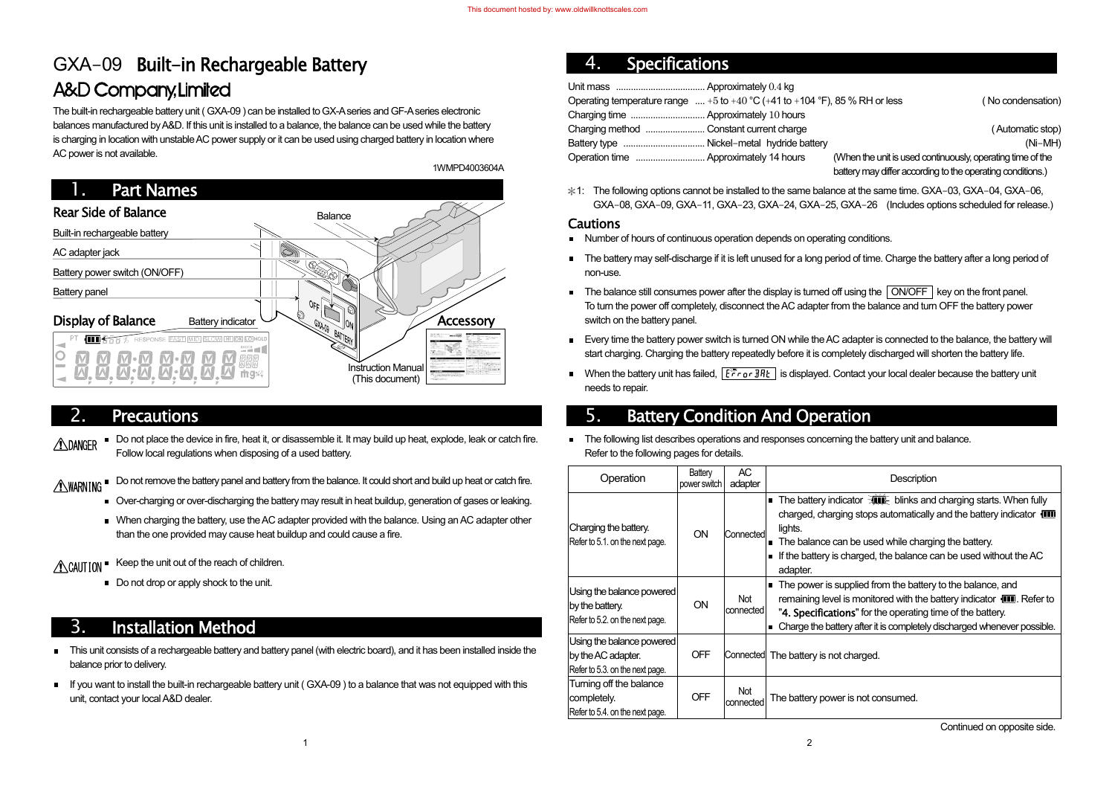# GXA-09 Built-in Rechargeable Battery **A&D Company, Limited**

The built-in rechargeable battery unit ( GXA-09 ) can be installed to GX-A series and GF-A series electronic balances manufactured by A&D. If this unit is installed to a balance, the balance can be used while the battery is charging in location with unstable AC power supply or it can be used using charged battery in location where AC power is not available.

#### 2.**Precautions**

- Do not place the device in fire, heat it, or disassemble it. It may build up heat, explode, leak or catch fire. **ANDANGER** Follow local regulations when disposing of a used battery.
- MARNING Do not remove the battery panel and battery from the balance. It could short and build up heat or catch fire.
	- Over-charging or over-discharging the battery may result in heat buildup, generation of gases or leaking.
	- When charging the battery, use the AC adapter provided with the balance. Using an AC adapter other than the one provided may cause heat buildup and could cause a fire.
- CAUTION E Keep the unit out of the reach of children.
	- Do not drop or apply shock to the unit.



#### 4.**Specifications**

When the unit is used continuously, operating time of the battery may differ according to the operating conditions.)

 $\text{factor}$   $\overline{\text{Cov}}$  blinks and charging starts. When fully ging stops automatically and the battery indicator  $\Box$ 

an be used while charging the battery. charged, the balance can be used without the AC

upplied from the battery to the balance, and is monitored with the battery indicator  $\mathbf{III}$ . Refer to ons" for the operating time of the battery. tery after it is completely discharged whenever possible.

 $*1$ : The following options cannot be installed to the same balance at the same time. GXA-03, GXA-04, GXA-06, GXA-08, GXA-09, GXA-11, GXA-23, GXA-24, GXA-25, GXA-26 (Includes options scheduled for release.)

### **Cautions**

# 3. Installation Method

- This unit consists of a rechargeable battery and battery panel (with electric board), and it has been installed inside the  $\blacksquare$ balance prior to delivery.
- If you want to install the built-in rechargeable battery unit ( GXA-09 ) to a balance that was not equipped with this  $\blacksquare$ unit, contact your local A&D dealer.
- Number of hours of continuous operation depends on operating conditions.
- The battery may self-discharge if it is left unused for a long period of time. Charge the battery after a long period of non-use.
- The balance still consumes power after the display is turned off using the  $\sqrt{ONOFF}$  key on the front panel. To turn the power off completely, disconnect the AC adapter from the balance and turn OFF the battery power switch on the battery panel.
- Every time the battery power switch is turned ON while the AC adapter is connected to the balance, the battery will start charging. Charging the battery repeatedly before it is completely discharged will shorten the battery life.
- When the battery unit has failed,  $\sqrt{e^* + e \cdot \sinh k}$  is displayed. Contact your local dealer because the battery unit needs to repair.

The following list describes operations and responses concerning the battery unit and balance. Refer to the following pages for details.

| Operating temperature range $\dots +5$ to $+40\,^{\circ}\text{C}$ (+41 to +104 $^{\circ}\text{F}$ ), 85 % RH or less |                                                            | (No condensation) |
|----------------------------------------------------------------------------------------------------------------------|------------------------------------------------------------|-------------------|
|                                                                                                                      |                                                            |                   |
|                                                                                                                      |                                                            | (Automatic stop)  |
|                                                                                                                      |                                                            | $(Ni-MH)$         |
|                                                                                                                      | (When the unit is used continuously, operating time of the |                   |
|                                                                                                                      |                                                            |                   |

# 5. Battery Condition And Operation

| Operation                                                                          | Battery<br>power switch | <b>AC</b><br>adapter    | Description                                                                                                                                                                                                    |
|------------------------------------------------------------------------------------|-------------------------|-------------------------|----------------------------------------------------------------------------------------------------------------------------------------------------------------------------------------------------------------|
| Charging the battery.<br>Refer to 5.1. on the next page.                           | ON                      | Connected               | The battery indicator $\exists$ <b>lift</b> blinks and<br>charged, charging stops automatically a<br>lights.<br>The balance can be used while chargin<br>If the battery is charged, the balance ca<br>adapter. |
| Using the balance powered<br>by the battery.<br>Refer to 5.2. on the next page.    | ON                      | Not<br>connected        | The power is supplied from the battery<br>In<br>remaining level is monitored with the ba<br>"4. Specifications" for the operating tin<br>Charge the battery after it is completely di                          |
| Using the balance powered<br>by the AC adapter.<br>Refer to 5.3. on the next page. | <b>OFF</b>              |                         | Connected The battery is not charged.                                                                                                                                                                          |
| Turning off the balance<br>completely.<br>Refer to 5.4. on the next page.          | <b>OFF</b>              | <b>Not</b><br>connected | The battery power is not consumed.                                                                                                                                                                             |

Continued on opposite side.